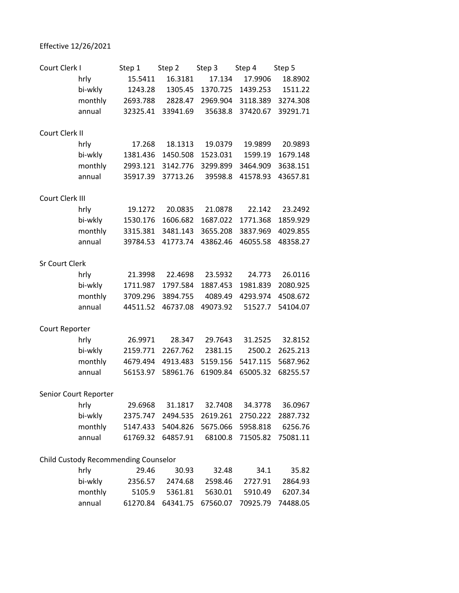## Effective 12/26/2021

| Court Clerk I                        |                       | Step 1   | Step 2   | Step 3   | Step 4   | Step 5   |
|--------------------------------------|-----------------------|----------|----------|----------|----------|----------|
|                                      | hrly                  | 15.5411  | 16.3181  | 17.134   | 17.9906  | 18.8902  |
|                                      | bi-wkly               | 1243.28  | 1305.45  | 1370.725 | 1439.253 | 1511.22  |
|                                      | monthly               | 2693.788 | 2828.47  | 2969.904 | 3118.389 | 3274.308 |
|                                      | annual                | 32325.41 | 33941.69 | 35638.8  | 37420.67 | 39291.71 |
| Court Clerk II                       |                       |          |          |          |          |          |
|                                      | hrly                  | 17.268   | 18.1313  | 19.0379  | 19.9899  | 20.9893  |
|                                      | bi-wkly               | 1381.436 | 1450.508 | 1523.031 | 1599.19  | 1679.148 |
|                                      | monthly               | 2993.121 | 3142.776 | 3299.899 | 3464.909 | 3638.151 |
|                                      | annual                | 35917.39 | 37713.26 | 39598.8  | 41578.93 | 43657.81 |
| Court Clerk III                      |                       |          |          |          |          |          |
|                                      | hrly                  | 19.1272  | 20.0835  | 21.0878  | 22.142   | 23.2492  |
|                                      | bi-wkly               | 1530.176 | 1606.682 | 1687.022 | 1771.368 | 1859.929 |
|                                      | monthly               | 3315.381 | 3481.143 | 3655.208 | 3837.969 | 4029.855 |
|                                      | annual                | 39784.53 | 41773.74 | 43862.46 | 46055.58 | 48358.27 |
| <b>Sr Court Clerk</b>                |                       |          |          |          |          |          |
|                                      | hrly                  | 21.3998  | 22.4698  | 23.5932  | 24.773   | 26.0116  |
|                                      | bi-wkly               | 1711.987 | 1797.584 | 1887.453 | 1981.839 | 2080.925 |
|                                      | monthly               | 3709.296 | 3894.755 | 4089.49  | 4293.974 | 4508.672 |
|                                      | annual                | 44511.52 | 46737.08 | 49073.92 | 51527.7  | 54104.07 |
| Court Reporter                       |                       |          |          |          |          |          |
|                                      | hrly                  | 26.9971  | 28.347   | 29.7643  | 31.2525  | 32.8152  |
|                                      | bi-wkly               | 2159.771 | 2267.762 | 2381.15  | 2500.2   | 2625.213 |
|                                      | monthly               | 4679.494 | 4913.483 | 5159.156 | 5417.115 | 5687.962 |
|                                      | annual                | 56153.97 | 58961.76 | 61909.84 | 65005.32 | 68255.57 |
|                                      | Senior Court Reporter |          |          |          |          |          |
|                                      | hrly                  | 29.6968  | 31.1817  | 32.7408  | 34.3778  | 36.0967  |
|                                      | bi-wkly               | 2375.747 | 2494.535 | 2619.261 | 2750.222 | 2887.732 |
|                                      | monthly               | 5147.433 | 5404.826 | 5675.066 | 5958.818 | 6256.76  |
|                                      | annual                | 61769.32 | 64857.91 | 68100.8  | 71505.82 | 75081.11 |
| Child Custody Recommending Counselor |                       |          |          |          |          |          |
|                                      | hrly                  | 29.46    | 30.93    | 32.48    | 34.1     | 35.82    |
|                                      | bi-wkly               | 2356.57  | 2474.68  | 2598.46  | 2727.91  | 2864.93  |
|                                      | monthly               | 5105.9   | 5361.81  | 5630.01  | 5910.49  | 6207.34  |
|                                      | annual                | 61270.84 | 64341.75 | 67560.07 | 70925.79 | 74488.05 |